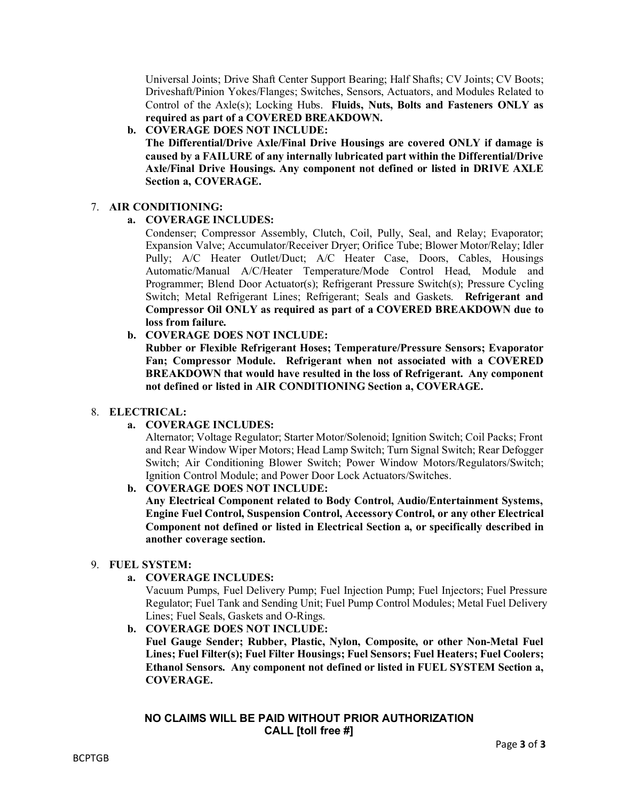Universal Joints; Drive Shaft Center Support Bearing; Half Shafts; CV Joints; CV Boots; Driveshaft/Pinion Yokes/Flanges; Switches, Sensors, Actuators, and Modules Related to Control of the Axle(s); Locking Hubs. **Fluids, Nuts, Bolts and Fasteners ONLY as required as part of a COVERED BREAKDOWN.** 

### **b. COVERAGE DOES NOT INCLUDE:**

**The Differential/Drive Axle/Final Drive Housings are covered ONLY if damage is caused by a FAILURE of any internally lubricated part within the Differential/Drive Axle/Final Drive Housings. Any component not defined or listed in DRIVE AXLE Section a, COVERAGE.**

#### 7. **AIR CONDITIONING:**

## **a. COVERAGE INCLUDES:**

Condenser; Compressor Assembly, Clutch, Coil, Pully, Seal, and Relay; Evaporator; Expansion Valve; Accumulator/Receiver Dryer; Orifice Tube; Blower Motor/Relay; Idler Pully; A/C Heater Outlet/Duct; A/C Heater Case, Doors, Cables, Housings Automatic/Manual A/C/Heater Temperature/Mode Control Head, Module and Programmer; Blend Door Actuator(s); Refrigerant Pressure Switch(s); Pressure Cycling Switch; Metal Refrigerant Lines; Refrigerant; Seals and Gaskets. **Refrigerant and Compressor Oil ONLY as required as part of a COVERED BREAKDOWN due to loss from failure.** AIR CONDITIONING:<br>
a. COVERAGE INCLUDES:<br>
condenser, Compressor Assembly, Clutch, Coil, Pully, Seal, and Relay; Evaporation<br>
Expansion Valve; Accumulator/Receiver Dryer; Orifice Tube; Blower Motor/Relay<br>
Pully;  $AC$  Heatte

## **b. COVERAGE DOES NOT INCLUDE:**

**Rubber or Flexible Refrigerant Hoses; Temperature/Pressure Sensors; Evaporator Fan; Compressor Module. Refrigerant when not associated with a COVERED BREAKDOWN that would have resulted in the loss of Refrigerant. Any component not defined or listed in AIR CONDITIONING Section a, COVERAGE.**

#### 8. **ELECTRICAL:**

# **a. COVERAGE INCLUDES:**

Alternator; Voltage Regulator; Starter Motor/Solenoid; Ignition Switch; Coil Packs; Front and Rear Window Wiper Motors; Head Lamp Switch; Turn Signal Switch; Rear Defogger Switch; Air Conditioning Blower Switch; Power Window Motors/Regulators/Switch; Ignition Control Module; and Power Door Lock Actuators/Switches.

**b. COVERAGE DOES NOT INCLUDE:** 

**Any Electrical Component related to Body Control, Audio/Entertainment Systems, Engine Fuel Control, Suspension Control, Accessory Control, or any other Electrical Component not defined or listed in Electrical Section a, or specifically described in another coverage section.**

# 9. **FUEL SYSTEM:**

**a. COVERAGE INCLUDES:** 

Vacuum Pumps, Fuel Delivery Pump; Fuel Injection Pump; Fuel Injectors; Fuel Pressure Regulator; Fuel Tank and Sending Unit; Fuel Pump Control Modules; Metal Fuel Delivery Lines; Fuel Seals, Gaskets and O-Rings.

**b. COVERAGE DOES NOT INCLUDE:** 

**Fuel Gauge Sender; Rubber, Plastic, Nylon, Composite, or other Non-Metal Fuel Lines; Fuel Filter(s); Fuel Filter Housings; Fuel Sensors; Fuel Heaters; Fuel Coolers; Ethanol Sensors. Any component not defined or listed in FUEL SYSTEM Section a, COVERAGE.**

#### **NO CLAIMS WILL BE PAID WITHOUT PRIOR AUTHORIZATION CALL [toll free #]**